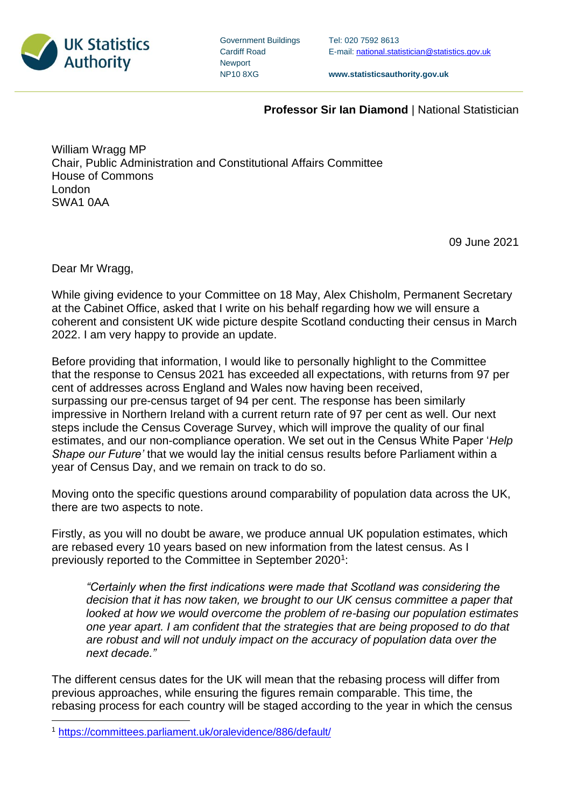

| <b>Government Buildings</b> |
|-----------------------------|
| <b>Cardiff Road</b>         |
| <b>Newport</b>              |
| <b>NP108XG</b>              |

Tel: 020 7592 8613 E-mail[: national.statistician@statistics.gov.uk](mailto:national.statistician@statistics.gov.uk)

**www.statisticsauthority.gov.uk**

## **Professor Sir Ian Diamond** | National Statistician

William Wragg MP Chair, Public Administration and Constitutional Affairs Committee House of Commons London SWA1 0AA

09 June 2021

Dear Mr Wragg,

While giving evidence to your Committee on 18 May, Alex Chisholm, Permanent Secretary at the Cabinet Office, asked that I write on his behalf regarding how we will ensure a coherent and consistent UK wide picture despite Scotland conducting their census in March 2022. I am very happy to provide an update.

Before providing that information, I would like to personally highlight to the Committee that the response to Census 2021 has exceeded all expectations, with returns from 97 per cent of addresses across England and Wales now having been received, surpassing our pre-census target of 94 per cent. The response has been similarly impressive in Northern Ireland with a current return rate of 97 per cent as well. Our next steps include the Census Coverage Survey, which will improve the quality of our final estimates, and our non-compliance operation. We set out in the Census White Paper '*Help Shape our Future'* that we would lay the initial census results before Parliament within a year of Census Day, and we remain on track to do so.

Moving onto the specific questions around comparability of population data across the UK, there are two aspects to note.

Firstly, as you will no doubt be aware, we produce annual UK population estimates, which are rebased every 10 years based on new information from the latest census. As I previously reported to the Committee in September 2020<sup>1</sup>:

*"Certainly when the first indications were made that Scotland was considering the decision that it has now taken, we brought to our UK census committee a paper that looked at how we would overcome the problem of re-basing our population estimates one year apart. I am confident that the strategies that are being proposed to do that are robust and will not unduly impact on the accuracy of population data over the next decade."*

The different census dates for the UK will mean that the rebasing process will differ from previous approaches, while ensuring the figures remain comparable. This time, the rebasing process for each country will be staged according to the year in which the census

<sup>1</sup> <https://committees.parliament.uk/oralevidence/886/default/>